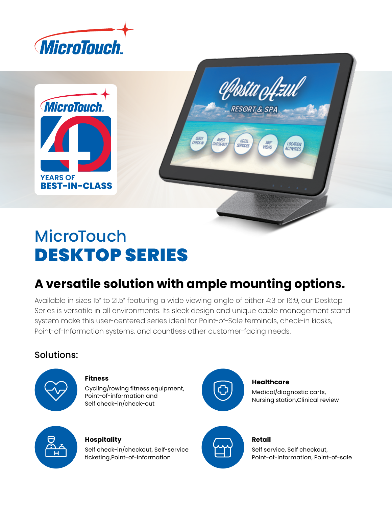





## **A versatile solution with ample mounting options.**

**QUEST** 

GUEST

Available in sizes 15" to 21.5" featuring a wide viewing angle of either 4:3 or 16:9, our Desktop Series is versatile in all environments. Its sleek design and unique cable management stand system make this user-centered series ideal for Point-of-Sale terminals, check-in kiosks, Point-of-Information systems, and countless other customer-facing needs.

## Solutions:



#### **Fitness**

Cycling/rowing fitness equipment, Point-of-information and Self check-in/check-out



#### **Healthcare**

**RESORT & SPA** 

 $360^{\circ}$ 

**VIEWS** 

**LOCATION** 

ACTIVITIES

HOTEL

Medical/diagnostic carts, Nursing station,Clinical review



#### **Hospitality**

Self check-in/checkout, Self-service ticketing,Point-of-information



#### **Retail**

Self service, Self checkout, Point-of-information, Point-of-sale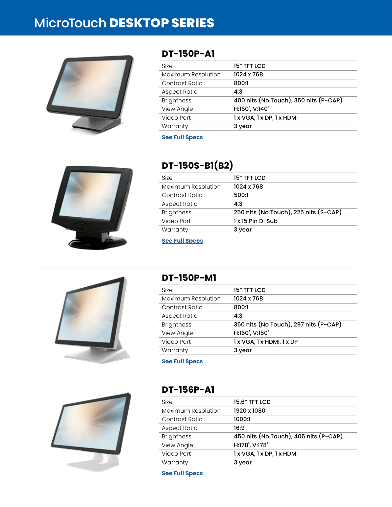# MicroTouch **DESKTOP SERIES**



### **DT-150P-A1**

| 15" TFT LCD                           |
|---------------------------------------|
| 1024 x 768                            |
| 800:1                                 |
| 4:3                                   |
| 400 nits (No Touch), 350 nits (P-CAP) |
| H:160°, V:140°                        |
| 1 x VGA, 1 x DP, 1 x HDMI             |
| 3 year                                |
|                                       |

#### **[See Full Specs](https://microtouch.com/products/dt-150p-a1/)**



## **DT-150S-B1(B2)**

| Size               | 15" TFT LCD                           |
|--------------------|---------------------------------------|
| Maximum Resolution | 1024 x 768                            |
| Contrast Ratio     | 500:1                                 |
| Aspect Ratio       | 4:3                                   |
| <b>Brightness</b>  | 250 nits (No Touch), 225 nits (S-CAP) |
| Video Port         | 1 x 15 Pin D-Sub                      |
| Warranty           | 3 year                                |





#### **DT-150P-M1**

| Size               | 15" TFT LCD                           |
|--------------------|---------------------------------------|
| Maximum Resolution | 1024 x 768                            |
| Contrast Ratio     | 800:1                                 |
| Aspect Ratio       | 4:3                                   |
| <b>Brightness</b>  | 350 nits (No Touch), 297 nits (P-CAP) |
| View Angle         | H:160°, V:150°                        |
| Video Port         | 1 x VGA, 1 x HDMI, 1 x DP             |
| Warranty           | 3 year                                |
|                    |                                       |

**[See Full Specs](https://microtouch.com/products/dt-150p-m1/)**



## **DT-156P-A1**

| <b>Size</b>        | <b>15.6" TFT LCD</b>                  |
|--------------------|---------------------------------------|
| Maximum Resolution | 1920 x 1080                           |
| Contrast Ratio     | 1000:1                                |
| Aspect Ratio       | 16:9                                  |
| <b>Brightness</b>  | 450 nits (No Touch), 405 nits (P-CAP) |
| View Angle         | H:178°, V:178°                        |
| Video Port         | 1 x VGA, 1 x DP, 1 x HDMI             |
| Warranty           | 3 year                                |

**[See Full Specs](https://microtouch.com/products/dt-156p-a1/)**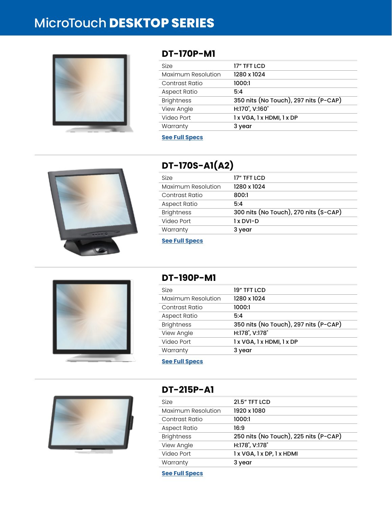# MicroTouch **DESKTOP SERIES**



### **DT-170P-M1**

| 17" TFT LCD                           |
|---------------------------------------|
| 1280 x 1024                           |
| 1000:1                                |
| 5:4                                   |
| 350 nits (No Touch), 297 nits (P-CAP) |
| H:170°, V:160°                        |
| 1 x VGA, 1 x HDMI, 1 x DP             |
| 3 year                                |
|                                       |

#### **[See Full Specs](https://microtouch.com/products/dt-170p-m1/)**



## **DT-170S-A1(A2)**

| 17" TFT LCD                           |
|---------------------------------------|
| 1280 x 1024                           |
| 800:1                                 |
| 5:4                                   |
| 300 nits (No Touch), 270 nits (S-CAP) |
| 1 x DVI-D                             |
| 3 year                                |
|                                       |

**[See Full Specs](https://microtouch.com/products/dt-170s-a1a2/)**



### **DT-190P-M1**

| Size               | 19" TFT LCD                           |
|--------------------|---------------------------------------|
| Maximum Resolution | 1280 x 1024                           |
| Contrast Ratio     | 1000:1                                |
| Aspect Ratio       | 5:4                                   |
| <b>Brightness</b>  | 350 nits (No Touch), 297 nits (P-CAP) |
| View Angle         | H:178°, V:178°                        |
| Video Port         | 1 x VGA, 1 x HDMI, 1 x DP             |
| Warranty           | 3 year                                |

**[See Full Specs](https://microtouch.com/products/dt-190p-m1/)**



### **DT-215P-A1**

| <b>Size</b>        | <b>21.5" TFT LCD</b>                  |
|--------------------|---------------------------------------|
| Maximum Resolution | 1920 x 1080                           |
| Contrast Ratio     | 1000:1                                |
| Aspect Ratio       | 16:9                                  |
| <b>Brightness</b>  | 250 nits (No Touch), 225 nits (P-CAP) |
| View Angle         | H:178°, V:178°                        |
| Video Port         | 1 x VGA, 1 x DP, 1 x HDMI             |
| Warranty           | 3 year                                |

**[See Full Specs](https://microtouch.com/products/dt-215p-a1/)**